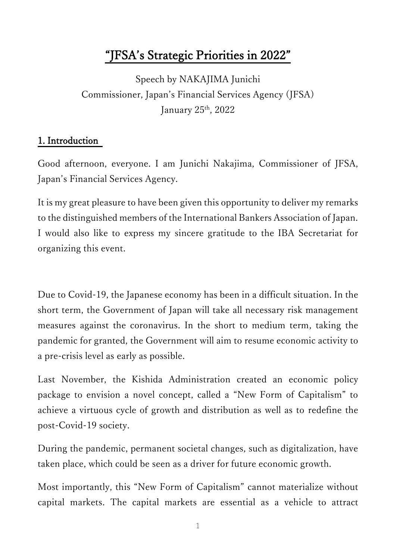# "JFSA's Strategic Priorities in 2022"

Speech by NAKAJIMA Junichi Commissioner, Japan's Financial Services Agency (JFSA) January 25<sup>th</sup>, 2022

## 1. Introduction

Good afternoon, everyone. I am Junichi Nakajima, Commissioner of JFSA, Japan's Financial Services Agency.

It is my great pleasure to have been given this opportunity to deliver my remarks to the distinguished members of the International Bankers Association of Japan. I would also like to express my sincere gratitude to the IBA Secretariat for organizing this event.

Due to Covid-19, the Japanese economy has been in a difficult situation. In the short term, the Government of Japan will take all necessary risk management measures against the coronavirus. In the short to medium term, taking the pandemic for granted, the Government will aim to resume economic activity to a pre-crisis level as early as possible.

Last November, the Kishida Administration created an economic policy package to envision a novel concept, called a "New Form of Capitalism" to achieve a virtuous cycle of growth and distribution as well as to redefine the post-Covid-19 society.

During the pandemic, permanent societal changes, such as digitalization, have taken place, which could be seen as a driver for future economic growth.

Most importantly, this "New Form of Capitalism" cannot materialize without capital markets. The capital markets are essential as a vehicle to attract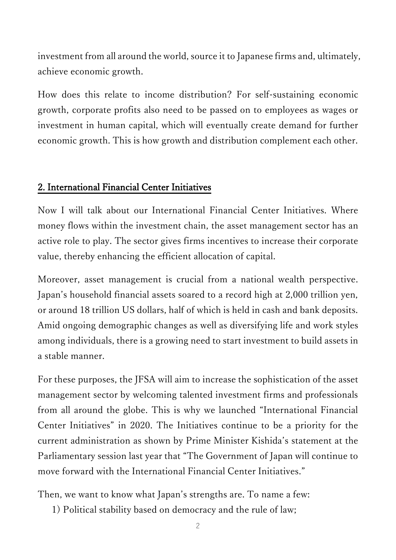investment from all around the world, source it to Japanese firms and, ultimately, achieve economic growth.

How does this relate to income distribution? For self-sustaining economic growth, corporate profits also need to be passed on to employees as wages or investment in human capital, which will eventually create demand for further economic growth. This is how growth and distribution complement each other.

#### 2. International Financial Center Initiatives

Now I will talk about our International Financial Center Initiatives. Where money flows within the investment chain, the asset management sector has an active role to play. The sector gives firms incentives to increase their corporate value, thereby enhancing the efficient allocation of capital.

Moreover, asset management is crucial from a national wealth perspective. Japan's household financial assets soared to a record high at 2,000 trillion yen, or around 18 trillion US dollars, half of which is held in cash and bank deposits. Amid ongoing demographic changes as well as diversifying life and work styles among individuals, there is a growing need to start investment to build assets in a stable manner.

For these purposes, the JFSA will aim to increase the sophistication of the asset management sector by welcoming talented investment firms and professionals from all around the globe. This is why we launched "International Financial Center Initiatives" in 2020. The Initiatives continue to be a priority for the current administration as shown by Prime Minister Kishida's statement at the Parliamentary session last year that "The Government of Japan will continue to move forward with the International Financial Center Initiatives."

Then, we want to know what Japan's strengths are. To name a few:

1) Political stability based on democracy and the rule of law;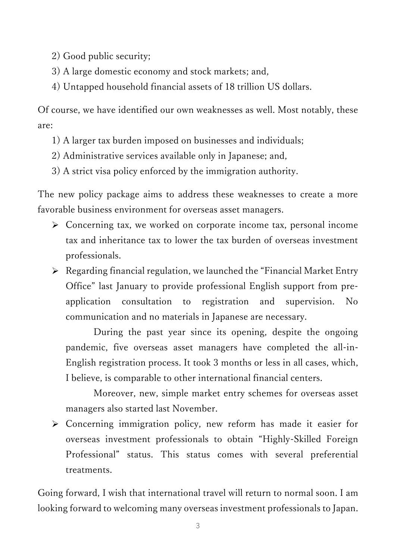2) Good public security;

- 3) A large domestic economy and stock markets; and,
- 4) Untapped household financial assets of 18 trillion US dollars.

Of course, we have identified our own weaknesses as well. Most notably, these are:

- 1) A larger tax burden imposed on businesses and individuals;
- 2) Administrative services available only in Japanese; and,
- 3) A strict visa policy enforced by the immigration authority.

The new policy package aims to address these weaknesses to create a more favorable business environment for overseas asset managers.

- Concerning tax, we worked on corporate income tax, personal income tax and inheritance tax to lower the tax burden of overseas investment professionals.
- $\triangleright$  Regarding financial regulation, we launched the "Financial Market Entry" Office" last January to provide professional English support from preapplication consultation to registration and supervision. No communication and no materials in Japanese are necessary.

During the past year since its opening, despite the ongoing pandemic, five overseas asset managers have completed the all-in-English registration process. It took 3 months or less in all cases, which, I believe, is comparable to other international financial centers.

Moreover, new, simple market entry schemes for overseas asset managers also started last November.

 Concerning immigration policy, new reform has made it easier for overseas investment professionals to obtain "Highly-Skilled Foreign Professional" status. This status comes with several preferential treatments.

Going forward, I wish that international travel will return to normal soon. I am looking forward to welcoming many overseas investment professionals to Japan.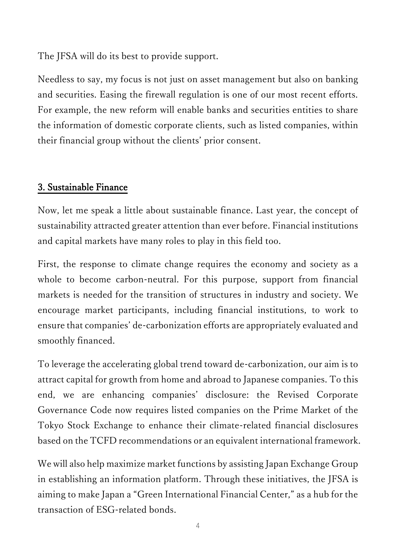The JFSA will do its best to provide support.

Needless to say, my focus is not just on asset management but also on banking and securities. Easing the firewall regulation is one of our most recent efforts. For example, the new reform will enable banks and securities entities to share the information of domestic corporate clients, such as listed companies, within their financial group without the clients' prior consent.

## 3. Sustainable Finance

Now, let me speak a little about sustainable finance. Last year, the concept of sustainability attracted greater attention than ever before. Financial institutions and capital markets have many roles to play in this field too.

First, the response to climate change requires the economy and society as a whole to become carbon-neutral. For this purpose, support from financial markets is needed for the transition of structures in industry and society. We encourage market participants, including financial institutions, to work to ensure that companies' de-carbonization efforts are appropriately evaluated and smoothly financed.

To leverage the accelerating global trend toward de-carbonization, our aim is to attract capital for growth from home and abroad to Japanese companies. To this end, we are enhancing companies' disclosure: the Revised Corporate Governance Code now requires listed companies on the Prime Market of the Tokyo Stock Exchange to enhance their climate-related financial disclosures based on the TCFD recommendations or an equivalent international framework.

We will also help maximize market functions by assisting Japan Exchange Group in establishing an information platform. Through these initiatives, the JFSA is aiming to make Japan a "Green International Financial Center," as a hub for the transaction of ESG-related bonds.